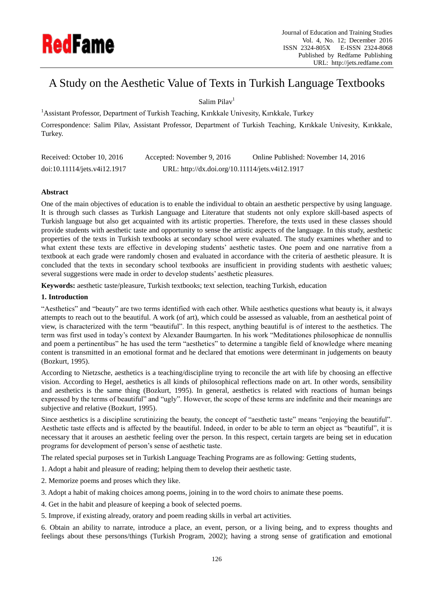

# A Study on the Aesthetic Value of Texts in Turkish Language Textbooks

Salim Pilav<sup>1</sup>

<sup>1</sup> Assistant Professor, Department of Turkish Teaching, Kırıkkale Univesity, Kırıkkale, Turkey Correspondence: Salim Pilav, Assistant Professor, Department of Turkish Teaching, Kırıkkale Univesity, Kırıkkale, Turkey.

| Received: October 10, 2016   | Accepted: November 9, 2016                      | Online Published: November 14, 2016 |
|------------------------------|-------------------------------------------------|-------------------------------------|
| doi:10.11114/jets.v4i12.1917 | URL: http://dx.doi.org/10.11114/jets.v4i12.1917 |                                     |

# **Abstract**

One of the main objectives of education is to enable the individual to obtain an aesthetic perspective by using language. It is through such classes as Turkish Language and Literature that students not only explore skill-based aspects of Turkish language but also get acquainted with its artistic properties. Therefore, the texts used in these classes should provide students with aesthetic taste and opportunity to sense the artistic aspects of the language. In this study, aesthetic properties of the texts in Turkish textbooks at secondary school were evaluated. The study examines whether and to what extent these texts are effective in developing students' aesthetic tastes. One poem and one narrative from a textbook at each grade were randomly chosen and evaluated in accordance with the criteria of aesthetic pleasure. It is concluded that the texts in secondary school textbooks are insufficient in providing students with aesthetic values; several suggestions were made in order to develop students' aesthetic pleasures.

**Keywords:** aesthetic taste/pleasure, Turkish textbooks; text selection, teaching Turkish, education

# **1. Introduction**

"Aesthetics" and "beauty" are two terms identified with each other. While aesthetics questions what beauty is, it always attempts to reach out to the beautiful. A work (of art), which could be assessed as valuable, from an aesthetical point of view, is characterized with the term "beautiful". In this respect, anything beautiful is of interest to the aesthetics. The term was first used in today"s context by Alexander Baumgarten. In his work "Meditationes philosophicae de nonnullis and poem a pertinentibus" he has used the term "aesthetics" to determine a tangible field of knowledge where meaning content is transmitted in an emotional format and he declared that emotions were determinant in judgements on beauty (Bozkurt, 1995).

According to Nietzsche, aesthetics is a teaching/discipline trying to reconcile the art with life by choosing an effective vision. According to Hegel, aesthetics is all kinds of philosophical reflections made on art. In other words, sensibility and aesthetics is the same thing (Bozkurt, 1995). In general, aesthetics is related with reactions of human beings expressed by the terms of beautiful" and "ugly". However, the scope of these terms are indefinite and their meanings are subjective and relative (Bozkurt, 1995).

Since aesthetics is a discipline scrutinizing the beauty, the concept of "aesthetic taste" means "enjoying the beautiful". Aesthetic taste effects and is affected by the beautiful. Indeed, in order to be able to term an object as "beautiful", it is necessary that it arouses an aesthetic feeling over the person. In this respect, certain targets are being set in education programs for development of person"s sense of aesthetic taste.

The related special purposes set in Turkish Language Teaching Programs are as following: Getting students,

- 1. Adopt a habit and pleasure of reading; helping them to develop their aesthetic taste.
- 2. Memorize poems and proses which they like.
- 3. Adopt a habit of making choices among poems, joining in to the word choirs to animate these poems.
- 4. Get in the habit and pleasure of keeping a book of selected poems.
- 5. Improve, if existing already, oratory and poem reading skills in verbal art activities.

6. Obtain an ability to narrate, introduce a place, an event, person, or a living being, and to express thoughts and feelings about these persons/things (Turkish Program, 2002); having a strong sense of gratification and emotional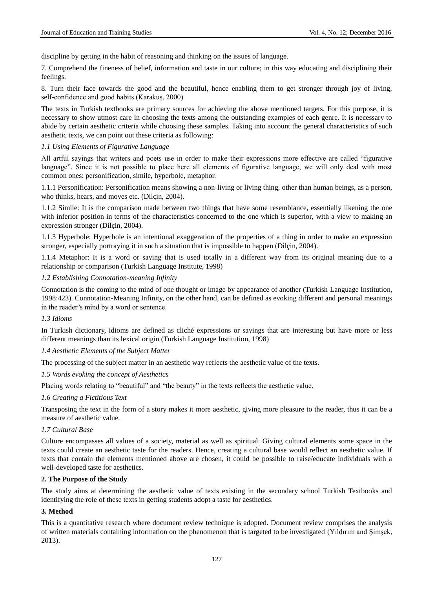discipline by getting in the habit of reasoning and thinking on the issues of language.

7. Comprehend the fineness of belief, information and taste in our culture; in this way educating and disciplining their feelings.

8. Turn their face towards the good and the beautiful, hence enabling them to get stronger through joy of living, self-confidence and good habits (Karakuş, 2000)

The texts in Turkish textbooks are primary sources for achieving the above mentioned targets. For this purpose, it is necessary to show utmost care in choosing the texts among the outstanding examples of each genre. It is necessary to abide by certain aesthetic criteria while choosing these samples. Taking into account the general characteristics of such aesthetic texts, we can point out these criteria as following:

#### *1.1 Using Elements of Figurative Language*

All artful sayings that writers and poets use in order to make their expressions more effective are called "figurative language". Since it is not possible to place here all elements of figurative language, we will only deal with most common ones: personification, simile, hyperbole, metaphor.

1.1.1 Personification: Personification means showing a non-living or living thing, other than human beings, as a person, who thinks, hears, and moves etc. (Dil qn, 2004).

1.1.2 Simile: It is the comparison made between two things that have some resemblance, essentially likening the one with inferior position in terms of the characteristics concerned to the one which is superior, with a view to making an expression stronger (Dilgin, 2004).

1.1.3 Hyperbole: Hyperbole is an intentional exaggeration of the properties of a thing in order to make an expression stronger, especially portraying it in such a situation that is impossible to happen (Dilgin, 2004).

1.1.4 Metaphor: It is a word or saying that is used totally in a different way from its original meaning due to a relationship or comparison (Turkish Language Institute, 1998)

#### *1.2 Establishing Connotation-meaning Infinity*

Connotation is the coming to the mind of one thought or image by appearance of another (Turkish Language Institution, 1998:423). Connotation-Meaning Infinity, on the other hand, can be defined as evoking different and personal meanings in the reader"s mind by a word or sentence.

#### *1.3 Idioms*

In Turkish dictionary, idioms are defined as cliché expressions or sayings that are interesting but have more or less different meanings than its lexical origin (Turkish Language Institution, 1998)

#### *1.4 Aesthetic Elements of the Subject Matter*

The processing of the subject matter in an aesthetic way reflects the aesthetic value of the texts.

#### *1.5 Words evoking the concept of Aesthetics*

Placing words relating to "beautiful" and "the beauty" in the texts reflects the aesthetic value.

#### *1.6 Creating a Fictitious Text*

Transposing the text in the form of a story makes it more aesthetic, giving more pleasure to the reader, thus it can be a measure of aesthetic value.

# *1.7 Cultural Base*

Culture encompasses all values of a society, material as well as spiritual. Giving cultural elements some space in the texts could create an aesthetic taste for the readers. Hence, creating a cultural base would reflect an aesthetic value. If texts that contain the elements mentioned above are chosen, it could be possible to raise/educate individuals with a well-developed taste for aesthetics.

#### **2. The Purpose of the Study**

The study aims at determining the aesthetic value of texts existing in the secondary school Turkish Textbooks and identifying the role of these texts in getting students adopt a taste for aesthetics.

#### **3. Method**

This is a quantitative research where document review technique is adopted. Document review comprises the analysis of written materials containing information on the phenomenon that is targeted to be investigated (Yıldırım and Şimşek, 2013).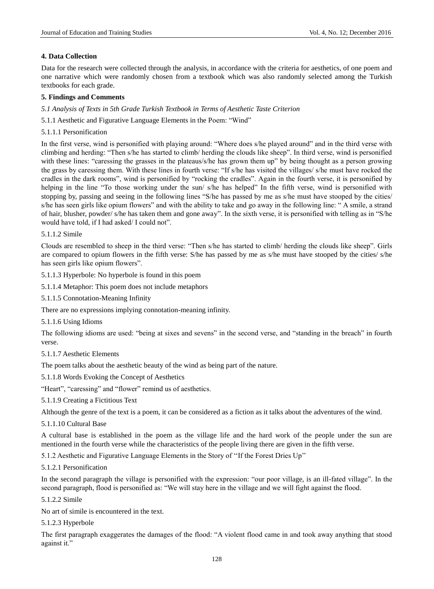#### **4. Data Collection**

Data for the research were collected through the analysis, in accordance with the criteria for aesthetics, of one poem and one narrative which were randomly chosen from a textbook which was also randomly selected among the Turkish textbooks for each grade.

#### **5. Findings and Comments**

*5.1 Analysis of Texts in 5th Grade Turkish Textbook in Terms of Aesthetic Taste Criterion*

- 5.1.1 Aesthetic and Figurative Language Elements in the Poem: "Wind"
- 5.1.1.1 Personification

In the first verse, wind is personified with playing around: "Where does s/he played around" and in the third verse with climbing and herding: "Then s/he has started to climb/ herding the clouds like sheep". In third verse, wind is personified with these lines: "caressing the grasses in the plateaus/s/he has grown them up" by being thought as a person growing the grass by caressing them. With these lines in fourth verse: "If s/he has visited the villages/ s/he must have rocked the cradles in the dark rooms", wind is personified by "rocking the cradles". Again in the fourth verse, it is personified by helping in the line "To those working under the sun/ s/he has helped" In the fifth verse, wind is personified with stopping by, passing and seeing in the following lines "S/he has passed by me as s/he must have stooped by the cities/ s/he has seen girls like opium flowers" and with the ability to take and go away in the following line: " A smile, a strand of hair, blusher, powder/ s/he has taken them and gone away". In the sixth verse, it is personified with telling as in "S/he would have told, if I had asked/ I could not".

5.1.1.2 Simile

Clouds are resembled to sheep in the third verse: "Then s/he has started to climb/ herding the clouds like sheep". Girls are compared to opium flowers in the fifth verse: S/he has passed by me as s/he must have stooped by the cities/ s/he has seen girls like opium flowers".

5.1.1.3 Hyperbole: No hyperbole is found in this poem

5.1.1.4 Metaphor: This poem does not include metaphors

5.1.1.5 Connotation-Meaning Infinity

There are no expressions implying connotation-meaning infinity.

5.1.1.6 Using Idioms

The following idioms are used: "being at sixes and sevens" in the second verse, and "standing in the breach" in fourth verse.

5.1.1.7 Aesthetic Elements

The poem talks about the aesthetic beauty of the wind as being part of the nature.

5.1.1.8 Words Evoking the Concept of Aesthetics

"Heart", "caressing" and "flower" remind us of aesthetics.

5.1.1.9 Creating a Fictitious Text

Although the genre of the text is a poem, it can be considered as a fiction as it talks about the adventures of the wind.

5.1.1.10 Cultural Base

A cultural base is established in the poem as the village life and the hard work of the people under the sun are mentioned in the fourth verse while the characteristics of the people living there are given in the fifth verse.

5.1.2 Aesthetic and Figurative Language Elements in the Story of ""If the Forest Dries Up""

5.1.2.1 Personification

In the second paragraph the village is personified with the expression: "our poor village, is an ill-fated village". In the second paragraph, flood is personified as: "We will stay here in the village and we will fight against the flood.

5.1.2.2 Simile

No art of simile is encountered in the text.

5.1.2.3 Hyperbole

The first paragraph exaggerates the damages of the flood: "A violent flood came in and took away anything that stood against it."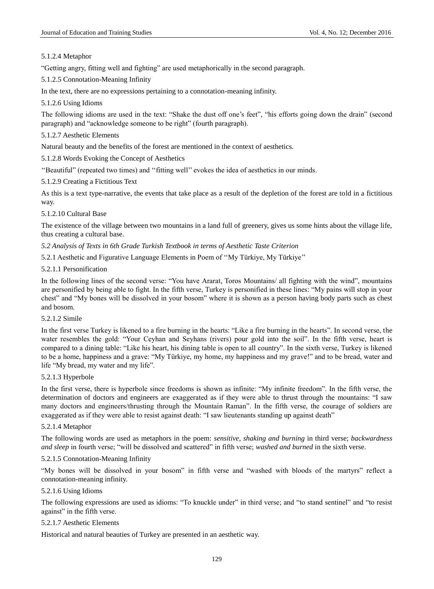# 5.1.2.4 Metaphor

"Getting angry, fitting well and fighting" are used metaphorically in the second paragraph.

5.1.2.5 Connotation-Meaning Infinity

In the text, there are no expressions pertaining to a connotation-meaning infinity.

# 5.1.2.6 Using Idioms

The following idioms are used in the text: "Shake the dust off one's feet", "his efforts going down the drain" (second paragraph) and "acknowledge someone to be right" (fourth paragraph).

# 5.1.2.7 Aesthetic Elements

Natural beauty and the benefits of the forest are mentioned in the context of aesthetics.

5.1.2.8 Words Evoking the Concept of Aesthetics

""Beautiful" (repeated two times) and ""fitting well"" evokes the idea of aesthetics in our minds.

5.1.2.9 Creating a Fictitious Text

As this is a text type-narrative, the events that take place as a result of the depletion of the forest are told in a fictitious way.

# 5.1.2.10 Cultural Base

The existence of the village between two mountains in a land full of greenery, gives us some hints about the village life, thus creating a cultural base.

*5.2 Analysis of Texts in 6th Grade Turkish Textbook in terms of Aesthetic Taste Criterion*

5.2.1 Aesthetic and Figurative Language Elements in Poem of ""My Türkiye, My Türkiye""

## 5.2.1.1 Personification

In the following lines of the second verse: "You have Ararat, Toros Mountains/ all fighting with the wind", mountains are personified by being able to fight. In the fifth verse, Turkey is personified in these lines: "My pains will stop in your chest" and "My bones will be dissolved in your bosom" where it is shown as a person having body parts such as chest and bosom.

# 5.2.1.2 Simile

In the first verse Turkey is likened to a fire burning in the hearts: "Like a fire burning in the hearts". In second verse, the water resembles the gold: "Your Ceyhan and Seyhans (rivers) pour gold into the soil". In the fifth verse, heart is compared to a dining table: "Like his heart, his dining table is open to all country". In the sixth verse, Turkey is likened to be a home, happiness and a grave: "My Türkiye, my home, my happiness and my grave!" and to be bread, water and life "My bread, my water and my life".

## 5.2.1.3 Hyperbole

In the first verse, there is hyperbole since freedoms is shown as infinite: "My infinite freedom". In the fifth verse, the determination of doctors and engineers are exaggerated as if they were able to thrust through the mountains: "I saw many doctors and engineers/thrusting through the Mountain Raman". In the fifth verse, the courage of soldiers are exaggerated as if they were able to resist against death: "I saw lieutenants standing up against death"

#### 5.2.1.4 Metaphor

The following words are used as metaphors in the poem: *sensitive, shaking and burning* in third verse; *backwardness and sleep* in fourth verse; "will be dissolved and scattered" in fifth verse; *washed and burned* in the sixth verse.

# 5.2.1.5 Connotation-Meaning Infinity

"My bones will be dissolved in your bosom" in fifth verse and "washed with bloods of the martyrs" reflect a connotation-meaning infinity.

# 5.2.1.6 Using Idioms

The following expressions are used as idioms: "To knuckle under" in third verse; and "to stand sentinel" and "to resist against" in the fifth verse.

#### 5.2.1.7 Aesthetic Elements

Historical and natural beauties of Turkey are presented in an aesthetic way.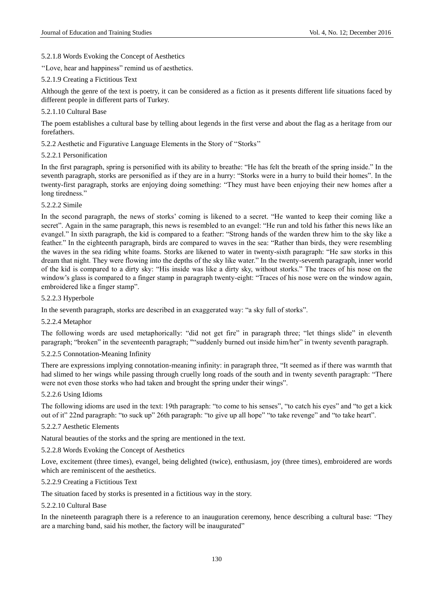## 5.2.1.8 Words Evoking the Concept of Aesthetics

"Love, hear and happiness" remind us of aesthetics.

## 5.2.1.9 Creating a Fictitious Text

Although the genre of the text is poetry, it can be considered as a fiction as it presents different life situations faced by different people in different parts of Turkey.

## 5.2.1.10 Cultural Base

The poem establishes a cultural base by telling about legends in the first verse and about the flag as a heritage from our forefathers.

5.2.2 Aesthetic and Figurative Language Elements in the Story of ""Storks""

## 5.2.2.1 Personification

In the first paragraph, spring is personified with its ability to breathe: "He has felt the breath of the spring inside." In the seventh paragraph, storks are personified as if they are in a hurry: "Storks were in a hurry to build their homes". In the twenty-first paragraph, storks are enjoying doing something: "They must have been enjoying their new homes after a long tiredness."

## 5.2.2.2 Simile

In the second paragraph, the news of storks" coming is likened to a secret. "He wanted to keep their coming like a secret". Again in the same paragraph, this news is resembled to an evangel: "He run and told his father this news like an evangel." In sixth paragraph, the kid is compared to a feather: "Strong hands of the warden threw him to the sky like a feather." In the eighteenth paragraph, birds are compared to waves in the sea: "Rather than birds, they were resembling the waves in the sea riding white foams. Storks are likened to water in twenty-sixth paragraph: "He saw storks in this dream that night. They were flowing into the depths of the sky like water." In the twenty-seventh paragraph, inner world of the kid is compared to a dirty sky: "His inside was like a dirty sky, without storks." The traces of his nose on the window's glass is compared to a finger stamp in paragraph twenty-eight: "Traces of his nose were on the window again, embroidered like a finger stamp".

#### 5.2.2.3 Hyperbole

In the seventh paragraph, storks are described in an exaggerated way: "a sky full of storks".

#### 5.2.2.4 Metaphor

The following words are used metaphorically: "did not get fire" in paragraph three; "let things slide" in eleventh paragraph; "broken" in the seventeenth paragraph; ""suddenly burned out inside him/her" in twenty seventh paragraph.

#### 5.2.2.5 Connotation-Meaning Infinity

There are expressions implying connotation-meaning infinity: in paragraph three, "It seemed as if there was warmth that had slimed to her wings while passing through cruelly long roads of the south and in twenty seventh paragraph: "There were not even those storks who had taken and brought the spring under their wings".

#### 5.2.2.6 Using Idioms

The following idioms are used in the text: 19th paragraph: "to come to his senses", "to catch his eyes" and "to get a kick out of it" 22nd paragraph: "to suck up" 26th paragraph: "to give up all hope" "to take revenge" and "to take heart".

#### 5.2.2.7 Aesthetic Elements

Natural beauties of the storks and the spring are mentioned in the text.

5.2.2.8 Words Evoking the Concept of Aesthetics

Love, excitement (three times), evangel, being delighted (twice), enthusiasm, joy (three times), embroidered are words which are reminiscent of the aesthetics.

#### 5.2.2.9 Creating a Fictitious Text

The situation faced by storks is presented in a fictitious way in the story.

#### 5.2.2.10 Cultural Base

In the nineteenth paragraph there is a reference to an inauguration ceremony, hence describing a cultural base: "They are a marching band, said his mother, the factory will be inaugurated"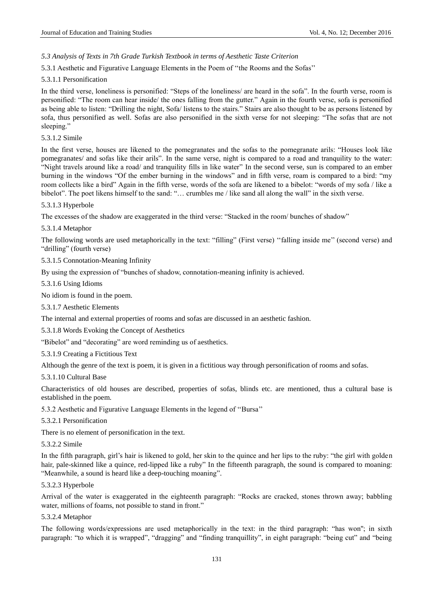# *5.3 Analysis of Texts in 7th Grade Turkish Textbook in terms of Aesthetic Taste Criterion*

5.3.1 Aesthetic and Figurative Language Elements in the Poem of ""the Rooms and the Sofas""

#### 5.3.1.1 Personification

In the third verse, loneliness is personified: "Steps of the loneliness/ are heard in the sofa". In the fourth verse, room is personified: "The room can hear inside/ the ones falling from the gutter." Again in the fourth verse, sofa is personified as being able to listen: "Drilling the night, Sofa/ listens to the stairs." Stairs are also thought to be as persons listened by sofa, thus personified as well. Sofas are also personified in the sixth verse for not sleeping: "The sofas that are not sleeping."

#### 5.3.1.2 Simile

In the first verse, houses are likened to the pomegranates and the sofas to the pomegranate arils: "Houses look like pomegranates/ and sofas like their arils". In the same verse, night is compared to a road and tranquility to the water: "Night travels around like a road/ and tranquility fills in like water" In the second verse, sun is compared to an ember burning in the windows "Of the ember burning in the windows" and in fifth verse, roam is compared to a bird: "my room collects like a bird" Again in the fifth verse, words of the sofa are likened to a bibelot: "words of my sofa / like a bibelot". The poet likens himself to the sand: "… crumbles me / like sand all along the wall" in the sixth verse.

## 5.3.1.3 Hyperbole

The excesses of the shadow are exaggerated in the third verse: "Stacked in the room/ bunches of shadow"

## 5.3.1.4 Metaphor

The following words are used metaphorically in the text: "filling" (First verse) "falling inside me" (second verse) and "drilling" (fourth verse)

5.3.1.5 Connotation-Meaning Infinity

By using the expression of "bunches of shadow, connotation-meaning infinity is achieved.

#### 5.3.1.6 Using Idioms

No idiom is found in the poem.

#### 5.3.1.7 Aesthetic Elements

The internal and external properties of rooms and sofas are discussed in an aesthetic fashion.

5.3.1.8 Words Evoking the Concept of Aesthetics

"Bibelot" and "decorating" are word reminding us of aesthetics.

#### 5.3.1.9 Creating a Fictitious Text

Although the genre of the text is poem, it is given in a fictitious way through personification of rooms and sofas.

#### 5.3.1.10 Cultural Base

Characteristics of old houses are described, properties of sofas, blinds etc. are mentioned, thus a cultural base is established in the poem.

5.3.2 Aesthetic and Figurative Language Elements in the legend of ""Bursa""

#### 5.3.2.1 Personification

There is no element of personification in the text.

#### 5.3.2.2 Simile

In the fifth paragraph, girl"s hair is likened to gold, her skin to the quince and her lips to the ruby: "the girl with golden hair, pale-skinned like a quince, red-lipped like a ruby" In the fifteenth paragraph, the sound is compared to moaning: "Meanwhile, a sound is heard like a deep-touching moaning".

#### 5.3.2.3 Hyperbole

Arrival of the water is exaggerated in the eighteenth paragraph: "Rocks are cracked, stones thrown away; babbling water, millions of foams, not possible to stand in front."

#### 5.3.2.4 Metaphor

The following words/expressions are used metaphorically in the text: in the third paragraph: "has won''; in sixth paragraph: "to which it is wrapped", "dragging" and "finding tranquillity", in eight paragraph: "being cut" and "being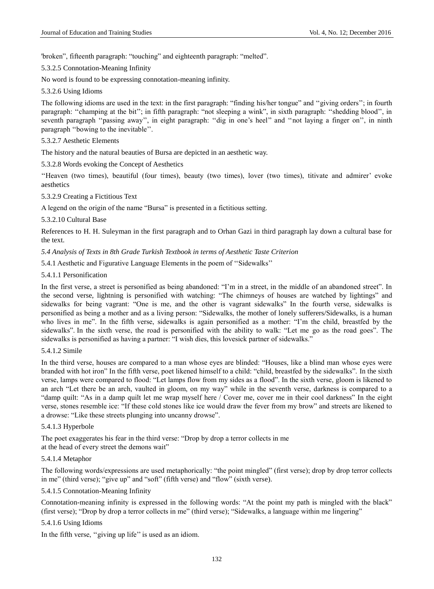'broken", fifteenth paragraph: "touching" and eighteenth paragraph: "melted".

## 5.3.2.5 Connotation-Meaning Infinity

No word is found to be expressing connotation-meaning infinity.

#### 5.3.2.6 Using Idioms

The following idioms are used in the text: in the first paragraph: "finding his/her tongue" and "giving orders"; in fourth paragraph: "champing at the bit"; in fifth paragraph: "not sleeping a wink", in sixth paragraph: "shedding blood", in seventh paragraph "passing away", in eight paragraph: "dig in one's heel" and "not laying a finger on", in ninth paragraph "bowing to the inevitable".

#### 5.3.2.7 Aesthetic Elements

The history and the natural beauties of Bursa are depicted in an aesthetic way.

5.3.2.8 Words evoking the Concept of Aesthetics

""Heaven (two times), beautiful (four times), beauty (two times), lover (two times), titivate and admirer" evoke aesthetics

5.3.2.9 Creating a Fictitious Text

A legend on the origin of the name "Bursa" is presented in a fictitious setting.

#### 5.3.2.10 Cultural Base

References to H. H. Suleyman in the first paragraph and to Orhan Gazi in third paragraph lay down a cultural base for the text.

*5.4 Analysis of Texts in 8th Grade Turkish Textbook in terms of Aesthetic Taste Criterion*

5.4.1 Aesthetic and Figurative Language Elements in the poem of ""Sidewalks""

## 5.4.1.1 Personification

In the first verse, a street is personified as being abandoned: "I"m in a street, in the middle of an abandoned street". In the second verse, lightning is personified with watching: "The chimneys of houses are watched by lightings" and sidewalks for being vagrant: "One is me, and the other is vagrant sidewalks" In the fourth verse, sidewalks is personified as being a mother and as a living person: "Sidewalks, the mother of lonely sufferers/Sidewalks, is a human who lives in me". In the fifth verse, sidewalks is again personified as a mother: "I'm the child, breastfed by the sidewalks". In the sixth verse, the road is personified with the ability to walk: "Let me go as the road goes". The sidewalks is personified as having a partner: "I wish dies, this lovesick partner of sidewalks."

#### 5.4.1.2 Simile

In the third verse, houses are compared to a man whose eyes are blinded: "Houses, like a blind man whose eyes were branded with hot iron" In the fifth verse, poet likened himself to a child: "child, breastfed by the sidewalks". In the sixth verse, lamps were compared to flood: "Let lamps flow from my sides as a flood". In the sixth verse, gloom is likened to an arch "Let there be an arch, vaulted in gloom, on my way" while in the seventh verse, darkness is compared to a "damp quilt: "As in a damp quilt let me wrap myself here / Cover me, cover me in their cool darkness" In the eight verse, stones resemble ice: "If these cold stones like ice would draw the fever from my brow" and streets are likened to a drowse: "Like these streets plunging into uncanny drowse".

#### 5.4.1.3 Hyperbole

The poet exaggerates his fear in the third verse: "Drop by drop a terror collects in me at the head of every street the demons wait"

#### 5.4.1.4 Metaphor

The following words/expressions are used metaphorically: "the point mingled" (first verse); drop by drop terror collects in me" (third verse); "give up" and "soft" (fifth verse) and "flow" (sixth verse).

## 5.4.1.5 Connotation-Meaning Infinity

Connotation-meaning infinity is expressed in the following words: "At the point my path is mingled with the black" (first verse); "Drop by drop a terror collects in me" (third verse); "Sidewalks, a language within me lingering"

#### 5.4.1.6 Using Idioms

In the fifth verse, "giving up life" is used as an idiom.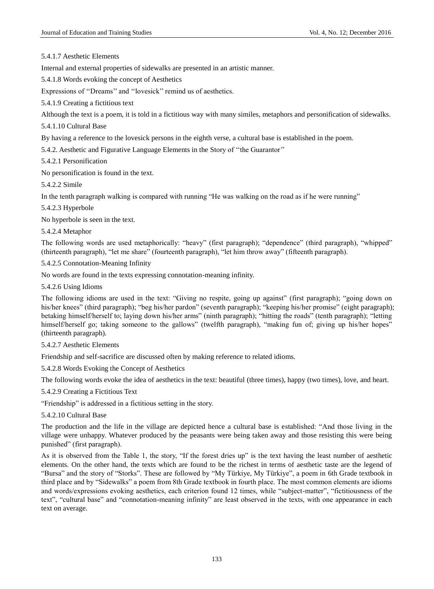5.4.1.7 Aesthetic Elements

Internal and external properties of sidewalks are presented in an artistic manner.

5.4.1.8 Words evoking the concept of Aesthetics

Expressions of "Dreams" and "lovesick" remind us of aesthetics.

5.4.1.9 Creating a fictitious text

Although the text is a poem, it is told in a fictitious way with many similes, metaphors and personification of sidewalks.

5.4.1.10 Cultural Base

By having a reference to the lovesick persons in the eighth verse, a cultural base is established in the poem.

5.4.2. Aesthetic and Figurative Language Elements in the Story of ""the Guarantor""

5.4.2.1 Personification

No personification is found in the text.

5.4.2.2 Simile

In the tenth paragraph walking is compared with running "He was walking on the road as if he were running"

5.4.2.3 Hyperbole

No hyperbole is seen in the text.

5.4.2.4 Metaphor

The following words are used metaphorically: "heavy" (first paragraph); "dependence" (third paragraph), "whipped" (thirteenth paragraph), "let me share" (fourteenth paragraph), "let him throw away" (fifteenth paragraph).

5.4.2.5 Connotation-Meaning Infinity

No words are found in the texts expressing connotation-meaning infinity.

5.4.2.6 Using Idioms

The following idioms are used in the text: "Giving no respite, going up against" (first paragraph); "going down on his/her knees" (third paragraph); "beg his/her pardon" (seventh paragraph); "keeping his/her promise" (eight paragraph); betaking himself/herself to; laying down his/her arms" (ninth paragraph); "hitting the roads" (tenth paragraph); "letting himself/herself go; taking someone to the gallows" (twelfth paragraph), "making fun of; giving up his/her hopes" (thirteenth paragraph).

5.4.2.7 Aesthetic Elements

Friendship and self-sacrifice are discussed often by making reference to related idioms.

5.4.2.8 Words Evoking the Concept of Aesthetics

The following words evoke the idea of aesthetics in the text: beautiful (three times), happy (two times), love, and heart.

5.4.2.9 Creating a Fictitious Text

"Friendship" is addressed in a fictitious setting in the story.

5.4.2.10 Cultural Base

The production and the life in the village are depicted hence a cultural base is established: "And those living in the village were unhappy. Whatever produced by the peasants were being taken away and those resisting this were being punished" (first paragraph).

As it is observed from the Table 1, the story, "If the forest dries up" is the text having the least number of aesthetic elements. On the other hand, the texts which are found to be the richest in terms of aesthetic taste are the legend of "Bursa" and the story of "Storks". These are followed by "My Türkiye, My Türkiye", a poem in 6th Grade textbook in third place and by "Sidewalks" a poem from 8th Grade textbook in fourth place. The most common elements are idioms and words/expressions evoking aesthetics, each criterion found 12 times, while "subject-matter", "fictitiousness of the text", "cultural base" and "connotation-meaning infinity" are least observed in the texts, with one appearance in each text on average.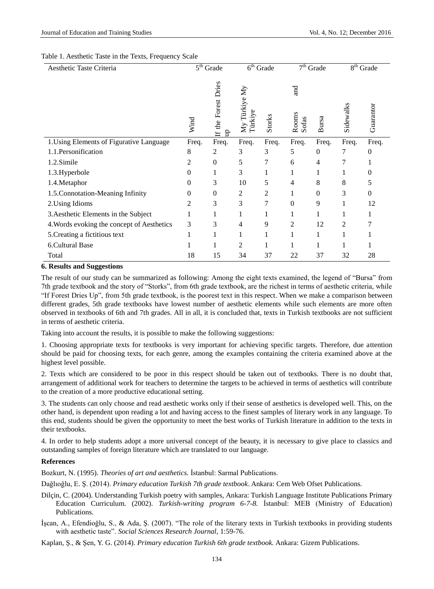#### Table 1. Aesthetic Taste in the Texts, Frequency Scale

| Aesthetic Taste Criteria                   | $5th$ Grade |                             | $\overline{6^{th}}$ Grade       |        | $\overline{7}^{\text{th}}$ Grade |          | $\overline{8}$ <sup>th</sup> Grade |           |
|--------------------------------------------|-------------|-----------------------------|---------------------------------|--------|----------------------------------|----------|------------------------------------|-----------|
|                                            | Wind        | Forest Dries<br>If the<br>£ | My Türkiye My<br><b>Türkiye</b> | Storks | and<br>Rooms<br>Sofas            | Bursa    | Sidewalks                          | Guarantor |
| 1. Using Elements of Figurative Language   | Freq.       | Freq.                       | Freq.                           | Freq.  | Freq.                            | Freq.    | Freq.                              | Freq.     |
| 1.1. Personification                       | 8           | 2                           | 3                               | 3      | 5                                | $\theta$ | 7                                  | 0         |
| 1.2.Simile                                 | 2           | 0                           | 5                               | 7      | 6                                | 4        |                                    | -1        |
| 1.3. Hyperbole                             | 0           |                             | 3                               |        |                                  | 1        |                                    | 0         |
| 1.4. Metaphor                              | 0           | 3                           | 10                              | 5      | 4                                | 8        | 8                                  | 5         |
| 1.5. Connotation-Meaning Infinity          | $\Omega$    | 0                           | 2                               | 2      |                                  | $\Omega$ | 3                                  | $\theta$  |
| 2. Using Idioms                            | 2           | 3                           | 3                               | 7      | $\Omega$                         | 9        |                                    | 12        |
| 3. Aesthetic Elements in the Subject       |             |                             |                                 |        |                                  | 1        |                                    |           |
| 4. Words evoking the concept of Aesthetics | 3           | 3                           | 4                               | 9      | 2                                | 12       | 2                                  |           |
| 5. Creating a fictitious text              |             | 1                           | 1                               |        |                                  | 1        |                                    |           |
| 6. Cultural Base                           |             |                             | $\overline{2}$                  |        |                                  | 1        |                                    |           |
| Total                                      | 18          | 15                          | 34                              | 37     | 22                               | 37       | 32                                 | 28        |

#### **6. Results and Suggestions**

The result of our study can be summarized as following: Among the eight texts examined, the legend of "Bursa" from 7th grade textbook and the story of "Storks", from 6th grade textbook, are the richest in terms of aesthetic criteria, while "If Forest Dries Up", from 5th grade textbook, is the poorest text in this respect. When we make a comparison between different grades, 5th grade textbooks have lowest number of aesthetic elements while such elements are more often observed in textbooks of 6th and 7th grades. All in all, it is concluded that, texts in Turkish textbooks are not sufficient in terms of aesthetic criteria.

Taking into account the results, it is possible to make the following suggestions:

1. Choosing appropriate texts for textbooks is very important for achieving specific targets. Therefore, due attention should be paid for choosing texts, for each genre, among the examples containing the criteria examined above at the highest level possible.

2. Texts which are considered to be poor in this respect should be taken out of textbooks. There is no doubt that, arrangement of additional work for teachers to determine the targets to be achieved in terms of aesthetics will contribute to the creation of a more productive educational setting.

3. The students can only choose and read aesthetic works only if their sense of aesthetics is developed well. This, on the other hand, is dependent upon reading a lot and having access to the finest samples of literary work in any language. To this end, students should be given the opportunity to meet the best works of Turkish literature in addition to the texts in their textbooks.

4. In order to help students adopt a more universal concept of the beauty, it is necessary to give place to classics and outstanding samples of foreign literature which are translated to our language.

#### **References**

Bozkurt, N. (1995). *Theories of art and aesthetics.* İstanbul: Sarmal Publications.

Dağlıoğlu, E. Ş. (2014). *Primary education Turkish 7th grade textbook*. Ankara: Cem Web Ofset Publications.

- Dilçin, C. (2004). Understanding Turkish poetry with samples, Ankara: Turkish Language Institute Publications Primary Education Curriculum. (2002). *Turkish-writing program 6-7-8.* İstanbul: MEB (Ministry of Education) Publications.
- İşcan, A., Efendioğlu, S., & Ada, Ş. (2007). "The role of the literary texts in Turkish textbooks in providing students with aesthetic taste". *Social Sciences Research Journal,* 1:59-76.

Kaplan, Ş., & Şen, Y. G. (2014). *Primary education Turkish 6th grade textbook.* Ankara: Gizem Publications.